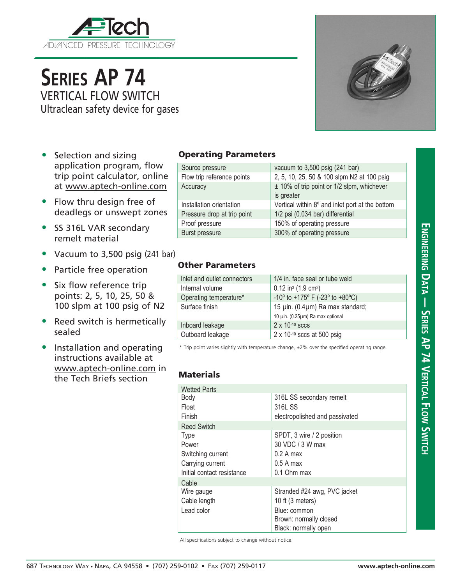

# **Series AP 74** VERTICAL FLOW SWITCH

Ultraclean safety device for gases

- Selection and sizing application program, flow trip point calculator, online at www.aptech-online.com
- Flow thru design free of deadlegs or unswept zones
- SS 316L VAR secondary remelt material
- Vacuum to 3,500 psig (241 bar)
- Particle free operation
- Six flow reference trip points: 2, 5, 10, 25, 50 & 100 slpm at 100 psig of N2
- Reed switch is hermetically sealed
- Installation and operating instructions available at www.aptech-online.com in the Tech Briefs section

#### Operating Parameters

| Source pressure             | vacuum to $3,500$ psig (241 bar)                             |
|-----------------------------|--------------------------------------------------------------|
| Flow trip reference points  | 2, 5, 10, 25, 50 & 100 slpm N2 at 100 psig                   |
| Accuracy                    | $\pm$ 10% of trip point or 1/2 slpm, whichever<br>is greater |
| Installation orientation    | Vertical within 8° and inlet port at the bottom              |
| Pressure drop at trip point | 1/2 psi (0.034 bar) differential                             |
| Proof pressure              | 150% of operating pressure                                   |
| <b>Burst pressure</b>       | 300% of operating pressure                                   |

### Other Parameters

| Inlet and outlet connectors | 1/4 in. face seal or tube weld                                       |
|-----------------------------|----------------------------------------------------------------------|
| Internal volume             | $0.12$ in <sup>3</sup> (1.9 cm <sup>3</sup> )                        |
| Operating temperature*      | -10 $\degree$ to +175 $\degree$ F (-23 $\degree$ to +80 $\degree$ C) |
| Surface finish              | 15 µin. (0.4µm) Ra max standard;                                     |
|                             | 10 µin. (0.25µm) Ra max optional                                     |
| Inboard leakage             | $2 \times 10^{-10}$ sccs                                             |
| Outboard leakage            | $2 \times 10^{-10}$ sccs at 500 psig                                 |
|                             |                                                                      |

\* Trip point varies slightly with temperature change, ±2% over the specified operating range.

#### **Materials**

| <b>Wetted Parts</b>        |                                |
|----------------------------|--------------------------------|
| Body                       | 316L SS secondary remelt       |
| Float                      | 316L SS                        |
| Finish                     | electropolished and passivated |
| <b>Reed Switch</b>         |                                |
| <b>Type</b>                | SPDT, 3 wire / 2 position      |
| Power                      | 30 VDC / 3 W max               |
| Switching current          | 0.2 A max                      |
| Carrying current           | $0.5A$ max                     |
| Initial contact resistance | 0.1 Ohm max                    |
| Cable                      |                                |
| Wire gauge                 | Stranded #24 awg, PVC jacket   |
| Cable length               | 10 ft $(3$ meters)             |
| Lead color                 | Blue: common                   |
|                            | Brown: normally closed         |
|                            | Black: normally open           |

All specifications subject to change without notice.